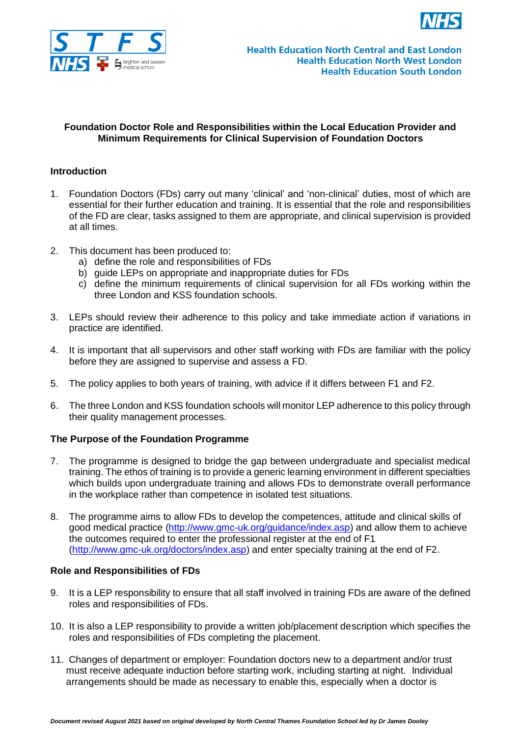



## **Foundation Doctor Role and Responsibilities within the Local Education Provider and Minimum Requirements for Clinical Supervision of Foundation Doctors**

## **Introduction**

- 1. Foundation Doctors (FDs) carry out many 'clinical' and 'non-clinical' duties, most of which are essential for their further education and training. It is essential that the role and responsibilities of the FD are clear, tasks assigned to them are appropriate, and clinical supervision is provided at all times.
- 2. This document has been produced to:
	- a) define the role and responsibilities of FDs
	- b) guide LEPs on appropriate and inappropriate duties for FDs
	- c) define the minimum requirements of clinical supervision for all FDs working within the three London and KSS foundation schools.
- 3. LEPs should review their adherence to this policy and take immediate action if variations in practice are identified.
- 4. It is important that all supervisors and other staff working with FDs are familiar with the policy before they are assigned to supervise and assess a FD.
- 5. The policy applies to both years of training, with advice if it differs between F1 and F2.
- 6. The three London and KSS foundation schools will monitor LEP adherence to this policy through their quality management processes.

## **The Purpose of the Foundation Programme**

- 7. The programme is designed to bridge the gap between undergraduate and specialist medical training. The ethos of training is to provide a generic learning environment in different specialties which builds upon undergraduate training and allows FDs to demonstrate overall performance in the workplace rather than competence in isolated test situations.
- 8. The programme aims to allow FDs to develop the competences, attitude and clinical skills of good medical practice [\(http://www.gmc-uk.org/guidance/index.asp\)](http://www.gmc-uk.org/guidance/index.asp) and allow them to achieve the outcomes required to enter the professional register at the end of F1 [\(http://www.gmc-uk.org/doctors/index.asp\)](http://www.gmc-uk.org/doctors/index.asp) and enter specialty training at the end of F2.

## **Role and Responsibilities of FDs**

- 9. It is a LEP responsibility to ensure that all staff involved in training FDs are aware of the defined roles and responsibilities of FDs.
- 10. It is also a LEP responsibility to provide a written job/placement description which specifies the roles and responsibilities of FDs completing the placement.
- 11. Changes of department or employer: Foundation doctors new to a department and/or trust must receive adequate induction before starting work, including starting at night. Individual arrangements should be made as necessary to enable this, especially when a doctor is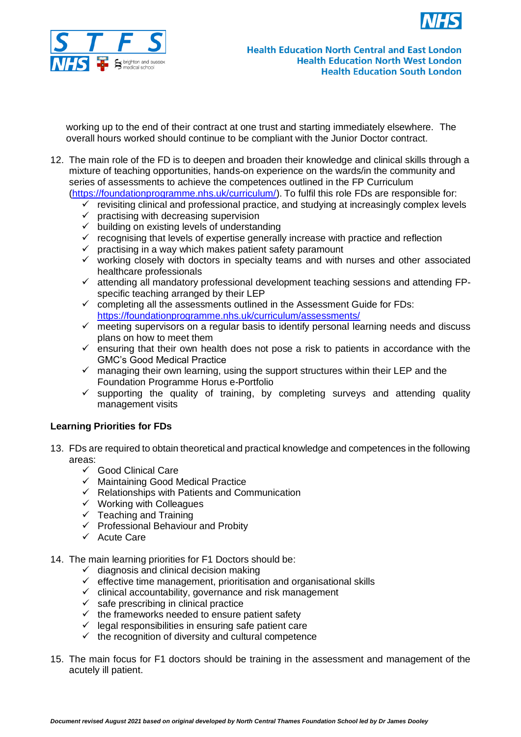



working up to the end of their contract at one trust and starting immediately elsewhere. The overall hours worked should continue to be compliant with the Junior Doctor contract.

- 12. The main role of the FD is to deepen and broaden their knowledge and clinical skills through a mixture of teaching opportunities, hands-on experience on the wards/in the community and series of assessments to achieve the competences outlined in the FP Curriculum [\(https://foundationprogramme.nhs.uk/curriculum/\)](https://foundationprogramme.nhs.uk/curriculum/). To fulfil this role FDs are responsible for:
	- $\checkmark$  revisiting clinical and professional practice, and studying at increasingly complex levels
	- $\checkmark$  practising with decreasing supervision
	- ✓ building on existing levels of understanding
	- $\checkmark$  recognising that levels of expertise generally increase with practice and reflection
	- $\checkmark$  practising in a way which makes patient safety paramount
	- $\checkmark$  working closely with doctors in specialty teams and with nurses and other associated healthcare professionals
	- ✓ attending all mandatory professional development teaching sessions and attending FPspecific teaching arranged by their LEP
	- $\checkmark$  completing all the assessments outlined in the Assessment Guide for FDs: <https://foundationprogramme.nhs.uk/curriculum/assessments/>
	- $\checkmark$  meeting supervisors on a regular basis to identify personal learning needs and discuss plans on how to meet them
	- $\checkmark$  ensuring that their own health does not pose a risk to patients in accordance with the GMC's Good Medical Practice
	- $\checkmark$  managing their own learning, using the support structures within their LEP and the Foundation Programme Horus e-Portfolio
	- $\checkmark$  supporting the quality of training, by completing surveys and attending quality management visits

#### **Learning Priorities for FDs**

- 13. FDs are required to obtain theoretical and practical knowledge and competences in the following areas:
	- $\checkmark$  Good Clinical Care
	- ✓ Maintaining Good Medical Practice
	- $\checkmark$  Relationships with Patients and Communication
	- $\checkmark$  Working with Colleagues
	- $\checkmark$  Teaching and Training
	- $\checkmark$  Professional Behaviour and Probity
	- ✓ Acute Care
- 14. The main learning priorities for F1 Doctors should be:
	- $\checkmark$  diagnosis and clinical decision making
	- $\checkmark$  effective time management, prioritisation and organisational skills
	- ✓ clinical accountability, governance and risk management
	- $\checkmark$  safe prescribing in clinical practice
	- $\checkmark$  the frameworks needed to ensure patient safety
	- $\checkmark$  legal responsibilities in ensuring safe patient care
	- $\checkmark$  the recognition of diversity and cultural competence
- 15. The main focus for F1 doctors should be training in the assessment and management of the acutely ill patient.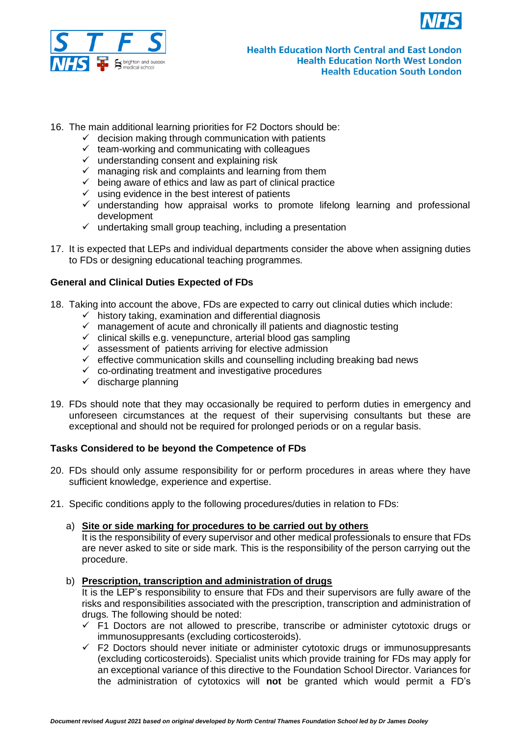



- 16. The main additional learning priorities for F2 Doctors should be:
	- $\checkmark$  decision making through communication with patients
	- $\checkmark$  team-working and communicating with colleagues
	- $\checkmark$  understanding consent and explaining risk
	- $\times$  managing risk and complaints and learning from them
	- $\checkmark$  being aware of ethics and law as part of clinical practice
	- $\checkmark$  using evidence in the best interest of patients
	- $\checkmark$  understanding how appraisal works to promote lifelong learning and professional development
	- $\checkmark$  undertaking small group teaching, including a presentation
- 17. It is expected that LEPs and individual departments consider the above when assigning duties to FDs or designing educational teaching programmes.

### **General and Clinical Duties Expected of FDs**

- 18. Taking into account the above, FDs are expected to carry out clinical duties which include:
	- $\checkmark$  history taking, examination and differential diagnosis
	- $\checkmark$  management of acute and chronically ill patients and diagnostic testing
	- $\checkmark$  clinical skills e.g. venepuncture, arterial blood gas sampling
	- $\checkmark$  assessment of patients arriving for elective admission
	- $\checkmark$  effective communication skills and counselling including breaking bad news
	- $\checkmark$  co-ordinating treatment and investigative procedures
	- $\checkmark$  discharge planning
- 19. FDs should note that they may occasionally be required to perform duties in emergency and unforeseen circumstances at the request of their supervising consultants but these are exceptional and should not be required for prolonged periods or on a regular basis.

# **Tasks Considered to be beyond the Competence of FDs**

- 20. FDs should only assume responsibility for or perform procedures in areas where they have sufficient knowledge, experience and expertise.
- 21. Specific conditions apply to the following procedures/duties in relation to FDs:

## a) **Site or side marking for procedures to be carried out by others**

It is the responsibility of every supervisor and other medical professionals to ensure that FDs are never asked to site or side mark. This is the responsibility of the person carrying out the procedure.

#### b) **Prescription, transcription and administration of drugs**

It is the LEP's responsibility to ensure that FDs and their supervisors are fully aware of the risks and responsibilities associated with the prescription, transcription and administration of drugs. The following should be noted:

- $\checkmark$  F1 Doctors are not allowed to prescribe, transcribe or administer cytotoxic drugs or immunosuppresants (excluding corticosteroids).
- $\checkmark$  F2 Doctors should never initiate or administer cytotoxic drugs or immunosuppresants (excluding corticosteroids). Specialist units which provide training for FDs may apply for an exceptional variance of this directive to the Foundation School Director. Variances for the administration of cytotoxics will **not** be granted which would permit a FD's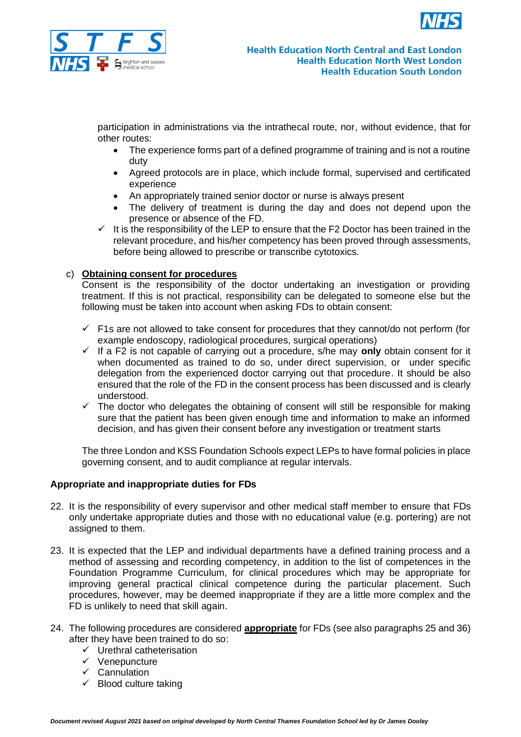



participation in administrations via the intrathecal route, nor, without evidence, that for other routes:

- The experience forms part of a defined programme of training and is not a routine duty
- Agreed protocols are in place, which include formal, supervised and certificated experience
- An appropriately trained senior doctor or nurse is always present
- The delivery of treatment is during the day and does not depend upon the presence or absence of the FD.
- $\checkmark$  It is the responsibility of the LEP to ensure that the F2 Doctor has been trained in the relevant procedure, and his/her competency has been proved through assessments, before being allowed to prescribe or transcribe cytotoxics.

# c) **Obtaining consent for procedures**

Consent is the responsibility of the doctor undertaking an investigation or providing treatment. If this is not practical, responsibility can be delegated to someone else but the following must be taken into account when asking FDs to obtain consent:

- $\checkmark$  F1s are not allowed to take consent for procedures that they cannot/do not perform (for example endoscopy, radiological procedures, surgical operations)
- ✓ If a F2 is not capable of carrying out a procedure, s/he may **only** obtain consent for it when documented as trained to do so, under direct supervision, or under specific delegation from the experienced doctor carrying out that procedure. It should be also ensured that the role of the FD in the consent process has been discussed and is clearly understood.
- $\checkmark$  The doctor who delegates the obtaining of consent will still be responsible for making sure that the patient has been given enough time and information to make an informed decision, and has given their consent before any investigation or treatment starts

The three London and KSS Foundation Schools expect LEPs to have formal policies in place governing consent, and to audit compliance at regular intervals.

## **Appropriate and inappropriate duties for FDs**

- 22. It is the responsibility of every supervisor and other medical staff member to ensure that FDs only undertake appropriate duties and those with no educational value (e.g. portering) are not assigned to them.
- 23. It is expected that the LEP and individual departments have a defined training process and a method of assessing and recording competency, in addition to the list of competences in the Foundation Programme Curriculum, for clinical procedures which may be appropriate for improving general practical clinical competence during the particular placement. Such procedures, however, may be deemed inappropriate if they are a little more complex and the FD is unlikely to need that skill again.
- 24. The following procedures are considered **appropriate** for FDs (see also paragraphs 25 and 36) after they have been trained to do so:
	- ✓ Urethral catheterisation
	- ✓ Venepuncture
	- ✓ Cannulation
	- $\checkmark$  Blood culture taking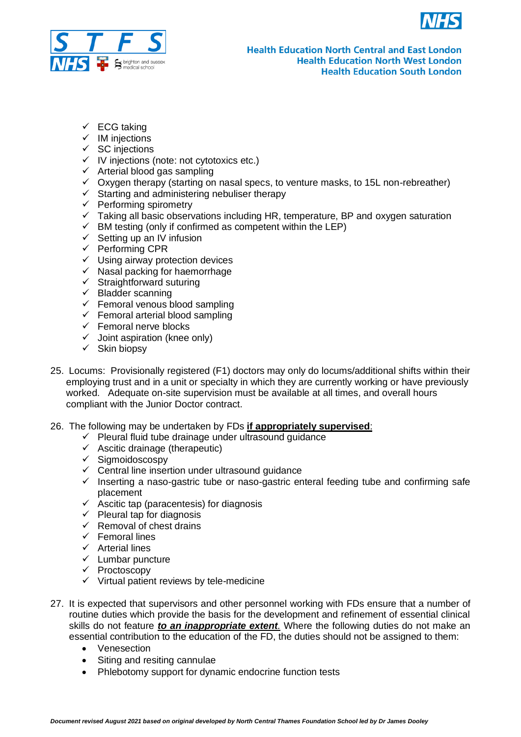



- $\checkmark$  ECG taking
- ✓ IM injections
- $\checkmark$  SC injections
- ✓ IV injections (note: not cytotoxics etc.)
- $\times$  Arterial blood gas sampling
- $\checkmark$  Oxygen therapy (starting on nasal specs, to venture masks, to 15L non-rebreather)
- $\checkmark$  Starting and administering nebuliser therapy
- $\checkmark$  Performing spirometry
- $\checkmark$  Taking all basic observations including HR, temperature, BP and oxygen saturation
- $\checkmark$  BM testing (only if confirmed as competent within the LEP)
- $\checkmark$  Setting up an IV infusion
- ✓ Performing CPR
- $\checkmark$  Using airway protection devices
- $\checkmark$  Nasal packing for haemorrhage
- $\checkmark$  Straightforward suturing
- $\checkmark$  Bladder scanning
- $\checkmark$  Femoral venous blood sampling
- $\checkmark$  Femoral arterial blood sampling
- $\checkmark$  Femoral nerve blocks
- $\checkmark$  Joint aspiration (knee only)
- ✓ Skin biopsy
- 25. Locums: Provisionally registered (F1) doctors may only do locums/additional shifts within their employing trust and in a unit or specialty in which they are currently working or have previously worked. Adequate on-site supervision must be available at all times, and overall hours compliant with the Junior Doctor contract.
- 26. The following may be undertaken by FDs **if appropriately supervised**:
	- ✓ Pleural fluid tube drainage under ultrasound guidance
	- ✓ Ascitic drainage (therapeutic)
	- ✓ Sigmoidoscospy
	- $\checkmark$  Central line insertion under ultrasound guidance
	- $\checkmark$  Inserting a naso-gastric tube or naso-gastric enteral feeding tube and confirming safe placement
	- $\checkmark$  Ascitic tap (paracentesis) for diagnosis
	- $\checkmark$  Pleural tap for diagnosis
	- $\checkmark$  Removal of chest drains
	- ✓ Femoral lines
	- ✓ Arterial lines
	- ✓ Lumbar puncture
	- ✓ Proctoscopy
	- $\checkmark$  Virtual patient reviews by tele-medicine
- 27. It is expected that supervisors and other personnel working with FDs ensure that a number of routine duties which provide the basis for the development and refinement of essential clinical skills do not feature *to an inappropriate extent.* Where the following duties do not make an essential contribution to the education of the FD, the duties should not be assigned to them:
	- Venesection
	- Siting and resiting cannulae
	- Phlebotomy support for dynamic endocrine function tests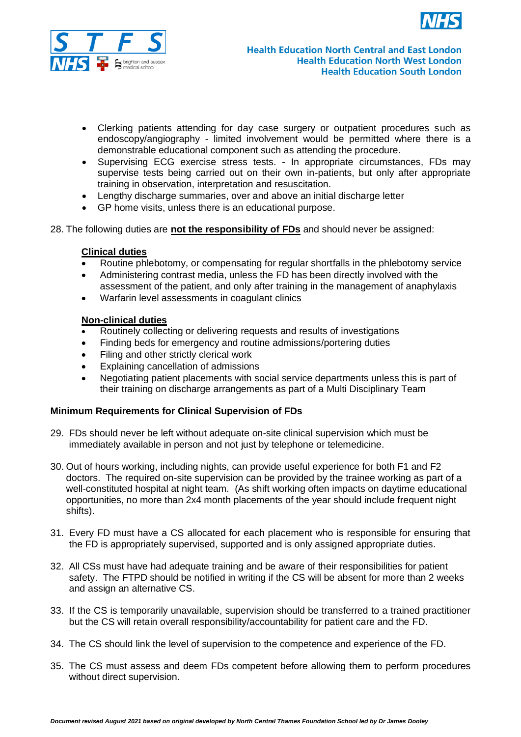



- Clerking patients attending for day case surgery or outpatient procedures such as endoscopy/angiography - limited involvement would be permitted where there is a demonstrable educational component such as attending the procedure.
- Supervising ECG exercise stress tests. In appropriate circumstances, FDs may supervise tests being carried out on their own in-patients, but only after appropriate training in observation, interpretation and resuscitation.
- Lengthy discharge summaries, over and above an initial discharge letter
- GP home visits, unless there is an educational purpose.
- 28. The following duties are **not the responsibility of FDs** and should never be assigned:

### **Clinical duties**

- Routine phlebotomy, or compensating for regular shortfalls in the phlebotomy service
- Administering contrast media, unless the FD has been directly involved with the assessment of the patient, and only after training in the management of anaphylaxis
- Warfarin level assessments in coagulant clinics

## **Non-clinical duties**

- Routinely collecting or delivering requests and results of investigations
- Finding beds for emergency and routine admissions/portering duties
- Filing and other strictly clerical work
- Explaining cancellation of admissions
- Negotiating patient placements with social service departments unless this is part of their training on discharge arrangements as part of a Multi Disciplinary Team

#### **Minimum Requirements for Clinical Supervision of FDs**

- 29. FDs should never be left without adequate on-site clinical supervision which must be immediately available in person and not just by telephone or telemedicine.
- 30. Out of hours working, including nights, can provide useful experience for both F1 and F2 doctors. The required on-site supervision can be provided by the trainee working as part of a well-constituted hospital at night team. (As shift working often impacts on daytime educational opportunities, no more than 2x4 month placements of the year should include frequent night shifts).
- 31. Every FD must have a CS allocated for each placement who is responsible for ensuring that the FD is appropriately supervised, supported and is only assigned appropriate duties.
- 32. All CSs must have had adequate training and be aware of their responsibilities for patient safety. The FTPD should be notified in writing if the CS will be absent for more than 2 weeks and assign an alternative CS.
- 33. If the CS is temporarily unavailable, supervision should be transferred to a trained practitioner but the CS will retain overall responsibility/accountability for patient care and the FD.
- 34. The CS should link the level of supervision to the competence and experience of the FD.
- 35. The CS must assess and deem FDs competent before allowing them to perform procedures without direct supervision.